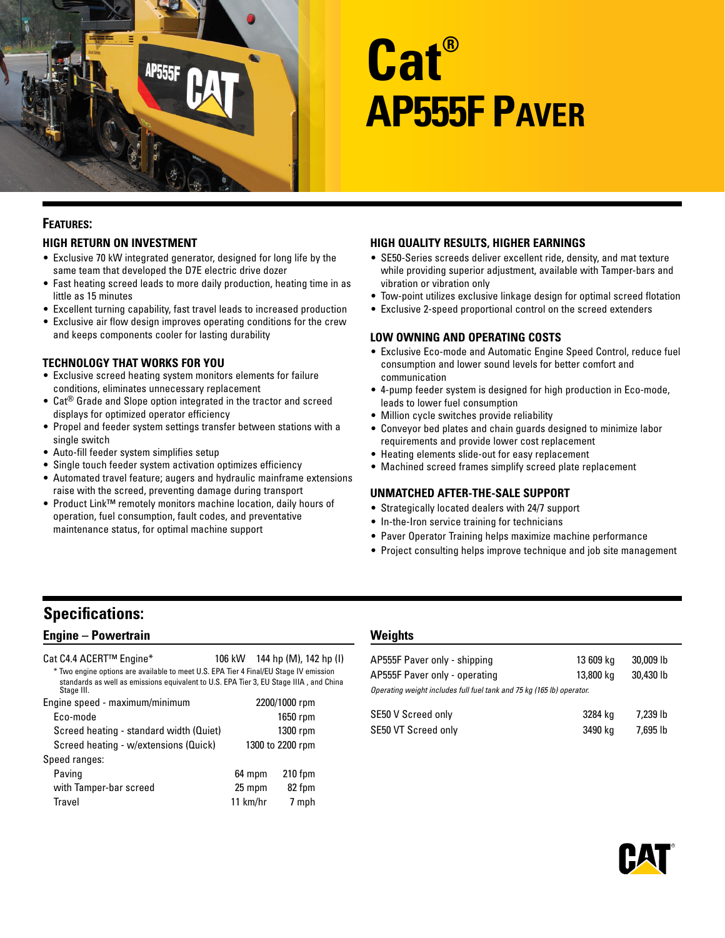

# **Cat® AP555F Paver**

# **Features:**

#### **High Return on Investment**

- Exclusive 70 kW integrated generator, designed for long life by the same team that developed the D7E electric drive dozer
- Fast heating screed leads to more daily production, heating time in as little as 15 minutes
- Excellent turning capability, fast travel leads to increased production
- Exclusive air flow design improves operating conditions for the crew and keeps components cooler for lasting durability

#### **Technology That Works for You**

- Exclusive screed heating system monitors elements for failure conditions, eliminates unnecessary replacement
- Cat® Grade and Slope option integrated in the tractor and screed displays for optimized operator efficiency
- Propel and feeder system settings transfer between stations with a single switch
- Auto-fill feeder system simplifies setup
- Single touch feeder system activation optimizes efficiency
- Automated travel feature; augers and hydraulic mainframe extensions raise with the screed, preventing damage during transport
- Product Link™ remotely monitors machine location, daily hours of operation, fuel consumption, fault codes, and preventative maintenance status, for optimal machine support

#### **High Quality Results, Higher Earnings**

- SE50-Series screeds deliver excellent ride, density, and mat texture while providing superior adjustment, available with Tamper-bars and vibration or vibration only
- Tow-point utilizes exclusive linkage design for optimal screed flotation
- Exclusive 2-speed proportional control on the screed extenders

#### **Low Owning and Operating Costs**

- Exclusive Eco-mode and Automatic Engine Speed Control, reduce fuel consumption and lower sound levels for better comfort and communication
- 4-pump feeder system is designed for high production in Eco-mode, leads to lower fuel consumption
- Million cycle switches provide reliability
- Conveyor bed plates and chain guards designed to minimize labor requirements and provide lower cost replacement
- Heating elements slide-out for easy replacement
- Machined screed frames simplify screed plate replacement

#### **Unmatched After-the-Sale Support**

- Strategically located dealers with 24/7 support
- In-the-Iron service training for technicians
- Paver Operator Training helps maximize machine performance
- Project consulting helps improve technique and job site management

# **Specifications:**

## **Engine – Powertrain**

| Cat C4.4 ACERT™ Engine*                                                                                                                                                                       | 106 kW 144 hp (M), 142 hp (I) |
|-----------------------------------------------------------------------------------------------------------------------------------------------------------------------------------------------|-------------------------------|
| * Two engine options are available to meet U.S. EPA Tier 4 Final/EU Stage IV emission<br>standards as well as emissions equivalent to U.S. EPA Tier 3, EU Stage IIIA, and China<br>Stage III. |                               |
| Engine speed - maximum/minimum                                                                                                                                                                | 2200/1000 rpm                 |
| Eco-mode                                                                                                                                                                                      | 1650 rpm                      |
| Screed heating - standard width (Quiet)                                                                                                                                                       | 1300 rpm                      |
| Screed heating - w/extensions (Quick)                                                                                                                                                         | 1300 to 2200 rpm              |
| Speed ranges:                                                                                                                                                                                 |                               |

| 64 mpm     | $210$ fpm |
|------------|-----------|
| 25 mpm     | 82 fpm    |
| $11$ km/hr | 7 mph     |
|            |           |

#### **Weights**

| AP555F Paver only - shipping<br>AP555F Paver only - operating         | 13 609 kg<br>13,800 kg | 30,009 lb<br>30,430 lb |
|-----------------------------------------------------------------------|------------------------|------------------------|
| Operating weight includes full fuel tank and 75 kg (165 lb) operator. |                        |                        |
| SE50 V Screed only                                                    | 3284 kg                | 7.239 lb               |
| SE50 VT Screed only                                                   | 3490 kg                | 7,695 lb               |